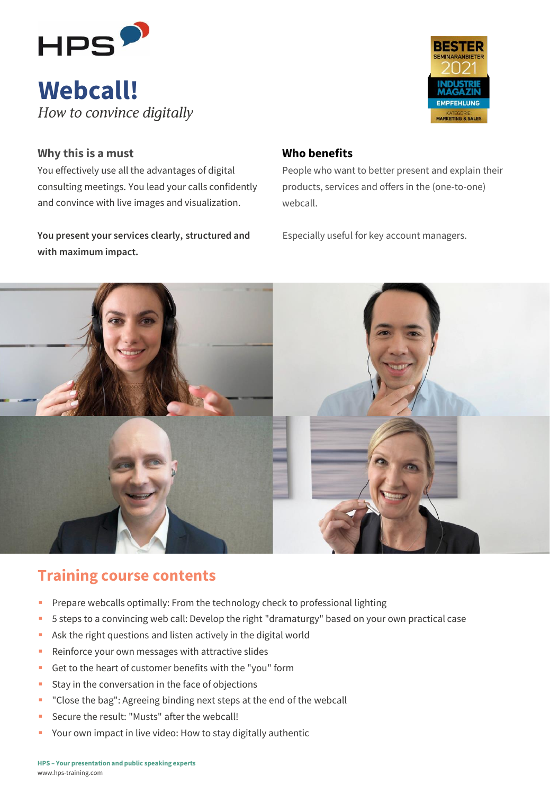

# **Webcall!**<br>How to convince digitally



#### **Why this is a must**

You effectively use all the advantages of digital consulting meetings. You lead your calls confidently and convince with live images and visualization.

You present your services clearly, structured and Especially useful for key account managers. **with maximum impact.**

#### **Who benefits**

People who want to better present and explain their products, services and offers in the (one-to-one) webcall.



## **Training course contents**

- **Prepare webcalls optimally: From the technology check to professional lighting**
- 5 steps to a convincing web call: Develop the right "dramaturgy" based on your own practical case
- Ask the right questions and listen actively in the digital world
- Reinforce your own messages with attractive slides
- Get to the heart of customer benefits with the "you" form
- **EXECT:** Stay in the conversation in the face of objections
- "Close the bag": Agreeing binding next steps at the end of the webcall
- Secure the result: "Musts" after the webcall!
- Your own impact in live video: How to stay digitally authentic